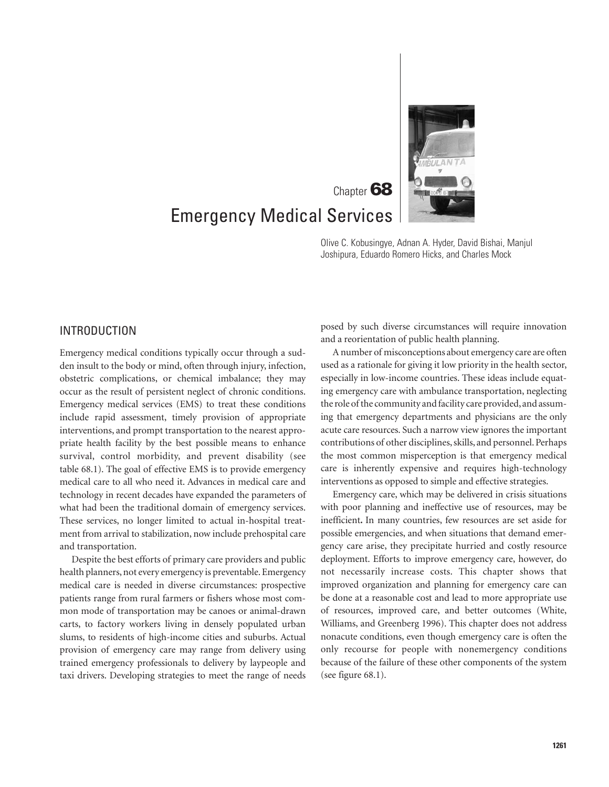# Chapter **68** Emergency Medical Services



Olive C. Kobusingye, Adnan A. Hyder, David Bishai, Manjul Joshipura, Eduardo Romero Hicks, and Charles Mock

## INTRODUCTION

Emergency medical conditions typically occur through a sudden insult to the body or mind, often through injury, infection, obstetric complications, or chemical imbalance; they may occur as the result of persistent neglect of chronic conditions. Emergency medical services (EMS) to treat these conditions include rapid assessment, timely provision of appropriate interventions, and prompt transportation to the nearest appropriate health facility by the best possible means to enhance survival, control morbidity, and prevent disability (see table 68.1). The goal of effective EMS is to provide emergency medical care to all who need it. Advances in medical care and technology in recent decades have expanded the parameters of what had been the traditional domain of emergency services. These services, no longer limited to actual in-hospital treatment from arrival to stabilization, now include prehospital care and transportation.

Despite the best efforts of primary care providers and public health planners, not every emergency is preventable. Emergency medical care is needed in diverse circumstances: prospective patients range from rural farmers or fishers whose most common mode of transportation may be canoes or animal-drawn carts, to factory workers living in densely populated urban slums, to residents of high-income cities and suburbs. Actual provision of emergency care may range from delivery using trained emergency professionals to delivery by laypeople and taxi drivers. Developing strategies to meet the range of needs posed by such diverse circumstances will require innovation and a reorientation of public health planning.

A number of misconceptions about emergency care are often used as a rationale for giving it low priority in the health sector, especially in low-income countries. These ideas include equating emergency care with ambulance transportation, neglecting the role of the community and facility care provided, and assuming that emergency departments and physicians are the only acute care resources. Such a narrow view ignores the important contributions of other disciplines, skills, and personnel. Perhaps the most common misperception is that emergency medical care is inherently expensive and requires high-technology interventions as opposed to simple and effective strategies.

Emergency care, which may be delivered in crisis situations with poor planning and ineffective use of resources, may be inefficient**.** In many countries, few resources are set aside for possible emergencies, and when situations that demand emergency care arise, they precipitate hurried and costly resource deployment. Efforts to improve emergency care, however, do not necessarily increase costs. This chapter shows that improved organization and planning for emergency care can be done at a reasonable cost and lead to more appropriate use of resources, improved care, and better outcomes (White, Williams, and Greenberg 1996). This chapter does not address nonacute conditions, even though emergency care is often the only recourse for people with nonemergency conditions because of the failure of these other components of the system (see figure 68.1).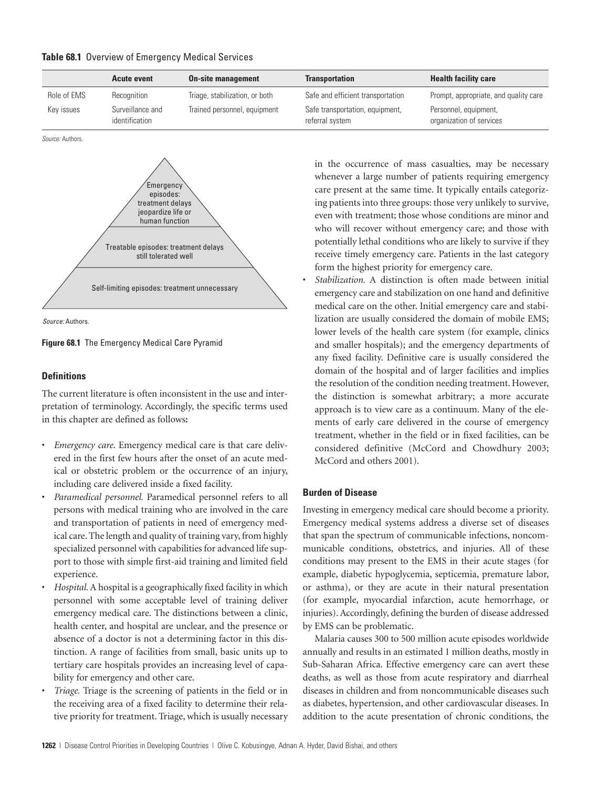|             | <b>Acute event</b>                 | <b>On-site management</b>      | <b>Transportation</b>                              | <b>Health facility care</b>                       |
|-------------|------------------------------------|--------------------------------|----------------------------------------------------|---------------------------------------------------|
| Role of EMS | Recognition                        | Triage, stabilization, or both | Safe and efficient transportation                  | Prompt, appropriate, and quality care             |
| Key issues  | Surveillance and<br>identification | Trained personnel, equipment   | Safe transportation, equipment,<br>referral system | Personnel, equipment,<br>organization of services |



*Source:* Authors.



Source: Authors.

**Figure 68.1** The Emergency Medical Care Pyramid

### **Definitions**

The current literature is often inconsistent in the use and interpretation of terminology. Accordingly, the specific terms used in this chapter are defined as follows**:**

- *Emergency care.* Emergency medical care is that care delivered in the first few hours after the onset of an acute medical or obstetric problem or the occurrence of an injury, including care delivered inside a fixed facility.
- *Paramedical personnel.* Paramedical personnel refers to all persons with medical training who are involved in the care and transportation of patients in need of emergency medical care. The length and quality of training vary, from highly specialized personnel with capabilities for advanced life support to those with simple first-aid training and limited field experience.
- *Hospital.* A hospital is a geographically fixed facility in which personnel with some acceptable level of training deliver emergency medical care. The distinctions between a clinic, health center, and hospital are unclear, and the presence or absence of a doctor is not a determining factor in this distinction. A range of facilities from small, basic units up to tertiary care hospitals provides an increasing level of capability for emergency and other care.
- *Triage.* Triage is the screening of patients in the field or in the receiving area of a fixed facility to determine their relative priority for treatment. Triage, which is usually necessary

in the occurrence of mass casualties, may be necessary whenever a large number of patients requiring emergency care present at the same time. It typically entails categorizing patients into three groups: those very unlikely to survive, even with treatment; those whose conditions are minor and who will recover without emergency care; and those with potentially lethal conditions who are likely to survive if they receive timely emergency care. Patients in the last category form the highest priority for emergency care.

• *Stabilization.* A distinction is often made between initial emergency care and stabilization on one hand and definitive medical care on the other. Initial emergency care and stabilization are usually considered the domain of mobile EMS; lower levels of the health care system (for example, clinics and smaller hospitals); and the emergency departments of any fixed facility. Definitive care is usually considered the domain of the hospital and of larger facilities and implies the resolution of the condition needing treatment. However, the distinction is somewhat arbitrary; a more accurate approach is to view care as a continuum. Many of the elements of early care delivered in the course of emergency treatment, whether in the field or in fixed facilities, can be considered definitive (McCord and Chowdhury 2003; McCord and others 2001).

## **Burden of Disease**

Investing in emergency medical care should become a priority. Emergency medical systems address a diverse set of diseases that span the spectrum of communicable infections, noncommunicable conditions, obstetrics, and injuries. All of these conditions may present to the EMS in their acute stages (for example, diabetic hypoglycemia, septicemia, premature labor, or asthma), or they are acute in their natural presentation (for example, myocardial infarction, acute hemorrhage, or injuries). Accordingly, defining the burden of disease addressed by EMS can be problematic.

Malaria causes 300 to 500 million acute episodes worldwide annually and results in an estimated 1 million deaths, mostly in Sub-Saharan Africa. Effective emergency care can avert these deaths, as well as those from acute respiratory and diarrheal diseases in children and from noncommunicable diseases such as diabetes, hypertension, and other cardiovascular diseases. In addition to the acute presentation of chronic conditions, the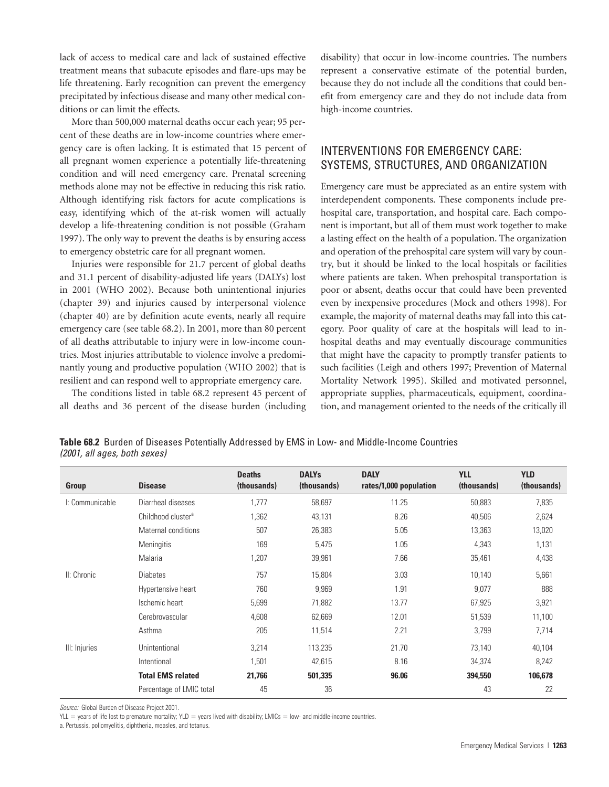lack of access to medical care and lack of sustained effective treatment means that subacute episodes and flare-ups may be life threatening. Early recognition can prevent the emergency precipitated by infectious disease and many other medical conditions or can limit the effects.

More than 500,000 maternal deaths occur each year; 95 percent of these deaths are in low-income countries where emergency care is often lacking. It is estimated that 15 percent of all pregnant women experience a potentially life-threatening condition and will need emergency care. Prenatal screening methods alone may not be effective in reducing this risk ratio. Although identifying risk factors for acute complications is easy, identifying which of the at-risk women will actually develop a life-threatening condition is not possible (Graham 1997). The only way to prevent the deaths is by ensuring access to emergency obstetric care for all pregnant women.

Injuries were responsible for 21.7 percent of global deaths and 31.1 percent of disability-adjusted life years (DALYs) lost in 2001 (WHO 2002). Because both unintentional injuries (chapter 39) and injuries caused by interpersonal violence (chapter 40) are by definition acute events, nearly all require emergency care (see table 68.2). In 2001, more than 80 percent of all death**s** attributable to injury were in low-income countries. Most injuries attributable to violence involve a predominantly young and productive population (WHO 2002) that is resilient and can respond well to appropriate emergency care.

The conditions listed in table 68.2 represent 45 percent of all deaths and 36 percent of the disease burden (including

disability) that occur in low-income countries. The numbers represent a conservative estimate of the potential burden, because they do not include all the conditions that could benefit from emergency care and they do not include data from high-income countries.

# INTERVENTIONS FOR EMERGENCY CARE: SYSTEMS, STRUCTURES, AND ORGANIZATION

Emergency care must be appreciated as an entire system with interdependent components. These components include prehospital care, transportation, and hospital care. Each component is important, but all of them must work together to make a lasting effect on the health of a population. The organization and operation of the prehospital care system will vary by country, but it should be linked to the local hospitals or facilities where patients are taken. When prehospital transportation is poor or absent, deaths occur that could have been prevented even by inexpensive procedures (Mock and others 1998). For example, the majority of maternal deaths may fall into this category. Poor quality of care at the hospitals will lead to inhospital deaths and may eventually discourage communities that might have the capacity to promptly transfer patients to such facilities (Leigh and others 1997; Prevention of Maternal Mortality Network 1995). Skilled and motivated personnel, appropriate supplies, pharmaceuticals, equipment, coordination, and management oriented to the needs of the critically ill

**Table 68.2** Burden of Diseases Potentially Addressed by EMS in Low- and Middle-Income Countries *(2001, all ages, both sexes)*

| <b>Group</b>    | <b>Disease</b>                 | <b>Deaths</b><br>(thousands) | <b>DALYs</b><br>(thousands) | <b>DALY</b><br>rates/1,000 population | <b>YLL</b><br>(thousands) | <b>YLD</b><br>(thousands) |
|-----------------|--------------------------------|------------------------------|-----------------------------|---------------------------------------|---------------------------|---------------------------|
| I: Communicable | Diarrheal diseases             | 1,777                        | 58,697                      | 11.25                                 | 50,883                    | 7,835                     |
|                 | Childhood cluster <sup>a</sup> | 1,362                        | 43,131                      | 8.26                                  | 40,506                    | 2,624                     |
|                 | Maternal conditions            | 507                          | 26,383                      | 5.05                                  | 13,363                    | 13,020                    |
|                 | Meningitis                     | 169                          | 5,475                       | 1.05                                  | 4,343                     | 1,131                     |
|                 | Malaria                        | 1,207                        | 39,961                      | 7.66                                  | 35,461                    | 4,438                     |
| II: Chronic     | <b>Diabetes</b>                | 757                          | 15,804                      | 3.03                                  | 10,140                    | 5,661                     |
|                 | Hypertensive heart             | 760                          | 9,969                       | 1.91                                  | 9,077                     | 888                       |
|                 | Ischemic heart                 | 5,699                        | 71,882                      | 13.77                                 | 67,925                    | 3,921                     |
|                 | Cerebrovascular                | 4,608                        | 62,669                      | 12.01                                 | 51,539                    | 11,100                    |
|                 | Asthma                         | 205                          | 11,514                      | 2.21                                  | 3,799                     | 7,714                     |
| III: Injuries   | Unintentional                  | 3,214                        | 113,235                     | 21.70                                 | 73,140                    | 40,104                    |
|                 | Intentional                    | 1,501                        | 42,615                      | 8.16                                  | 34,374                    | 8,242                     |
|                 | <b>Total EMS related</b>       | 21,766                       | 501,335                     | 96.06                                 | 394,550                   | 106,678                   |
|                 | Percentage of LMIC total       | 45                           | 36                          |                                       | 43                        | 22                        |

*Source:* Global Burden of Disease Project 2001.

YLL = years of life lost to premature mortality; YLD = years lived with disability; LMICs = low- and middle-income countries.

a. Pertussis, poliomyelitis, diphtheria, measles, and tetanus.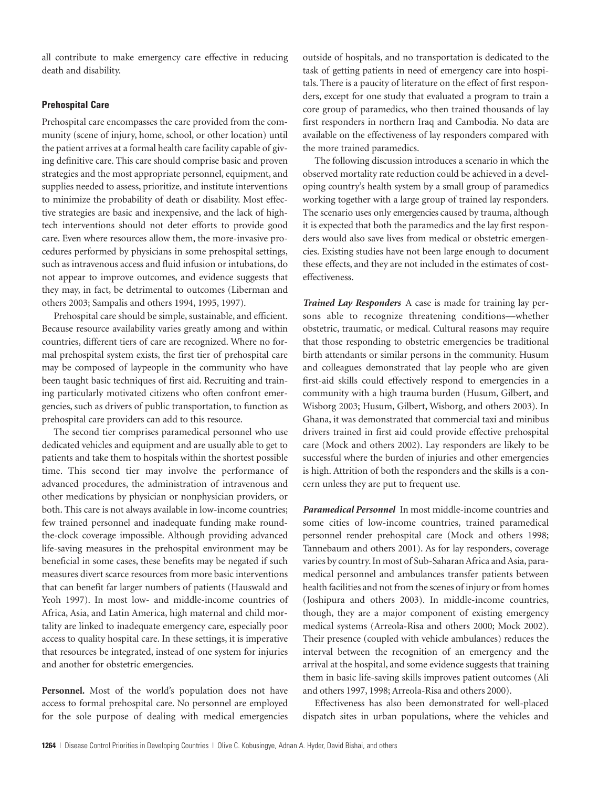all contribute to make emergency care effective in reducing death and disability.

#### **Prehospital Care**

Prehospital care encompasses the care provided from the community (scene of injury, home, school, or other location) until the patient arrives at a formal health care facility capable of giving definitive care. This care should comprise basic and proven strategies and the most appropriate personnel, equipment, and supplies needed to assess, prioritize, and institute interventions to minimize the probability of death or disability. Most effective strategies are basic and inexpensive, and the lack of hightech interventions should not deter efforts to provide good care. Even where resources allow them, the more-invasive procedures performed by physicians in some prehospital settings, such as intravenous access and fluid infusion or intubations, do not appear to improve outcomes, and evidence suggests that they may, in fact, be detrimental to outcomes (Liberman and others 2003; Sampalis and others 1994, 1995, 1997).

Prehospital care should be simple, sustainable, and efficient. Because resource availability varies greatly among and within countries, different tiers of care are recognized. Where no formal prehospital system exists, the first tier of prehospital care may be composed of laypeople in the community who have been taught basic techniques of first aid. Recruiting and training particularly motivated citizens who often confront emergencies, such as drivers of public transportation, to function as prehospital care providers can add to this resource.

The second tier comprises paramedical personnel who use dedicated vehicles and equipment and are usually able to get to patients and take them to hospitals within the shortest possible time. This second tier may involve the performance of advanced procedures, the administration of intravenous and other medications by physician or nonphysician providers, or both. This care is not always available in low-income countries; few trained personnel and inadequate funding make roundthe-clock coverage impossible. Although providing advanced life-saving measures in the prehospital environment may be beneficial in some cases, these benefits may be negated if such measures divert scarce resources from more basic interventions that can benefit far larger numbers of patients (Hauswald and Yeoh 1997). In most low- and middle-income countries of Africa, Asia, and Latin America, high maternal and child mortality are linked to inadequate emergency care, especially poor access to quality hospital care. In these settings, it is imperative that resources be integrated, instead of one system for injuries and another for obstetric emergencies.

**Personnel.** Most of the world's population does not have access to formal prehospital care. No personnel are employed for the sole purpose of dealing with medical emergencies

outside of hospitals, and no transportation is dedicated to the task of getting patients in need of emergency care into hospitals. There is a paucity of literature on the effect of first responders, except for one study that evaluated a program to train a core group of paramedics, who then trained thousands of lay first responders in northern Iraq and Cambodia. No data are available on the effectiveness of lay responders compared with the more trained paramedics.

The following discussion introduces a scenario in which the observed mortality rate reduction could be achieved in a developing country's health system by a small group of paramedics working together with a large group of trained lay responders. The scenario uses only emergencies caused by trauma, although it is expected that both the paramedics and the lay first responders would also save lives from medical or obstetric emergencies. Existing studies have not been large enough to document these effects, and they are not included in the estimates of costeffectiveness.

*Trained Lay Responders* A case is made for training lay persons able to recognize threatening conditions—whether obstetric, traumatic, or medical. Cultural reasons may require that those responding to obstetric emergencies be traditional birth attendants or similar persons in the community. Husum and colleagues demonstrated that lay people who are given first-aid skills could effectively respond to emergencies in a community with a high trauma burden (Husum, Gilbert, and Wisborg 2003; Husum, Gilbert, Wisborg, and others 2003). In Ghana, it was demonstrated that commercial taxi and minibus drivers trained in first aid could provide effective prehospital care (Mock and others 2002). Lay responders are likely to be successful where the burden of injuries and other emergencies is high. Attrition of both the responders and the skills is a concern unless they are put to frequent use.

*Paramedical Personnel* In most middle-income countries and some cities of low-income countries, trained paramedical personnel render prehospital care (Mock and others 1998; Tannebaum and others 2001). As for lay responders, coverage varies by country. In most of Sub-Saharan Africa and Asia, paramedical personnel and ambulances transfer patients between health facilities and not from the scenes of injury or from homes (Joshipura and others 2003). In middle-income countries, though, they are a major component of existing emergency medical systems (Arreola-Risa and others 2000; Mock 2002). Their presence (coupled with vehicle ambulances) reduces the interval between the recognition of an emergency and the arrival at the hospital, and some evidence suggests that training them in basic life-saving skills improves patient outcomes (Ali and others 1997, 1998; Arreola-Risa and others 2000).

Effectiveness has also been demonstrated for well-placed dispatch sites in urban populations, where the vehicles and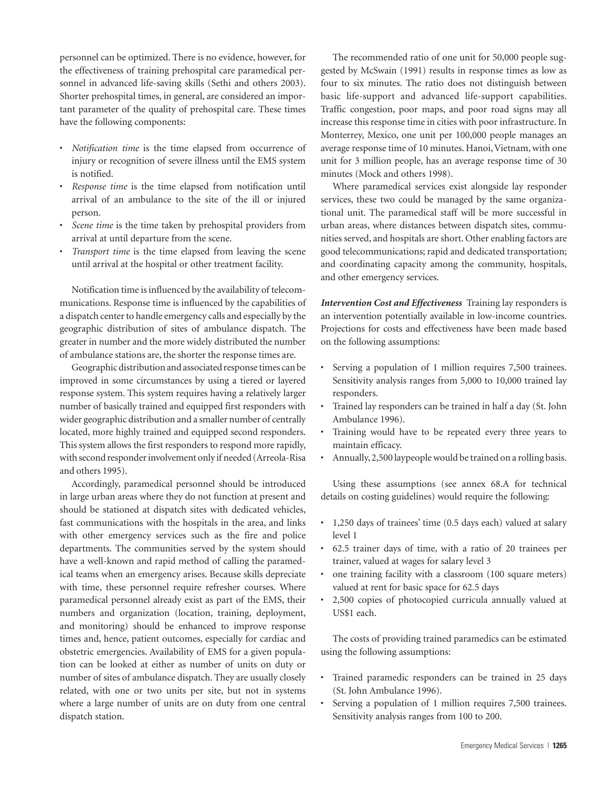personnel can be optimized. There is no evidence, however, for the effectiveness of training prehospital care paramedical personnel in advanced life-saving skills (Sethi and others 2003). Shorter prehospital times, in general, are considered an important parameter of the quality of prehospital care. These times have the following components:

- *Notification time* is the time elapsed from occurrence of injury or recognition of severe illness until the EMS system is notified.
- *Response time* is the time elapsed from notification until arrival of an ambulance to the site of the ill or injured person.
- *Scene time* is the time taken by prehospital providers from arrival at until departure from the scene.
- *Transport time* is the time elapsed from leaving the scene until arrival at the hospital or other treatment facility.

Notification time is influenced by the availability of telecommunications. Response time is influenced by the capabilities of a dispatch center to handle emergency calls and especially by the geographic distribution of sites of ambulance dispatch. The greater in number and the more widely distributed the number of ambulance stations are, the shorter the response times are.

Geographic distribution and associated response times can be improved in some circumstances by using a tiered or layered response system. This system requires having a relatively larger number of basically trained and equipped first responders with wider geographic distribution and a smaller number of centrally located, more highly trained and equipped second responders. This system allows the first responders to respond more rapidly, with second responder involvement only if needed (Arreola-Risa and others 1995).

Accordingly, paramedical personnel should be introduced in large urban areas where they do not function at present and should be stationed at dispatch sites with dedicated vehicles, fast communications with the hospitals in the area, and links with other emergency services such as the fire and police departments. The communities served by the system should have a well-known and rapid method of calling the paramedical teams when an emergency arises. Because skills depreciate with time, these personnel require refresher courses. Where paramedical personnel already exist as part of the EMS, their numbers and organization (location, training, deployment, and monitoring) should be enhanced to improve response times and, hence, patient outcomes, especially for cardiac and obstetric emergencies. Availability of EMS for a given population can be looked at either as number of units on duty or number of sites of ambulance dispatch. They are usually closely related, with one or two units per site, but not in systems where a large number of units are on duty from one central dispatch station.

The recommended ratio of one unit for 50,000 people suggested by McSwain (1991) results in response times as low as four to six minutes. The ratio does not distinguish between basic life-support and advanced life-support capabilities. Traffic congestion, poor maps, and poor road signs may all increase this response time in cities with poor infrastructure. In Monterrey, Mexico, one unit per 100,000 people manages an average response time of 10 minutes. Hanoi, Vietnam, with one unit for 3 million people, has an average response time of 30 minutes (Mock and others 1998).

Where paramedical services exist alongside lay responder services, these two could be managed by the same organizational unit. The paramedical staff will be more successful in urban areas, where distances between dispatch sites, communities served, and hospitals are short. Other enabling factors are good telecommunications; rapid and dedicated transportation; and coordinating capacity among the community, hospitals, and other emergency services.

*Intervention Cost and Effectiveness* Training lay responders is an intervention potentially available in low-income countries. Projections for costs and effectiveness have been made based on the following assumptions:

- Serving a population of 1 million requires 7,500 trainees. Sensitivity analysis ranges from 5,000 to 10,000 trained lay responders.
- Trained lay responders can be trained in half a day (St. John Ambulance 1996).
- Training would have to be repeated every three years to maintain efficacy.
- Annually, 2,500 laypeople would be trained on a rolling basis.

Using these assumptions (see annex 68.A for technical details on costing guidelines) would require the following:

- 1,250 days of trainees' time (0.5 days each) valued at salary level 1
- 62.5 trainer days of time, with a ratio of 20 trainees per trainer, valued at wages for salary level 3
- one training facility with a classroom (100 square meters) valued at rent for basic space for 62.5 days
- 2,500 copies of photocopied curricula annually valued at US\$1 each.

The costs of providing trained paramedics can be estimated using the following assumptions:

- Trained paramedic responders can be trained in 25 days (St. John Ambulance 1996).
- Serving a population of 1 million requires 7,500 trainees. Sensitivity analysis ranges from 100 to 200.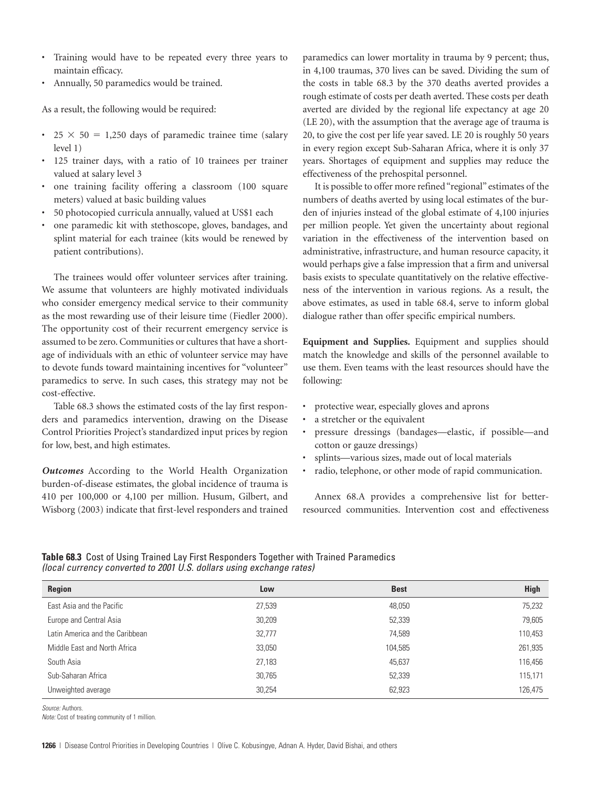- Training would have to be repeated every three years to maintain efficacy.
- Annually, 50 paramedics would be trained.

As a result, the following would be required:

- 25  $\times$  50 = 1,250 days of paramedic trainee time (salary level 1)
- 125 trainer days, with a ratio of 10 trainees per trainer valued at salary level 3
- one training facility offering a classroom (100 square meters) valued at basic building values
- 50 photocopied curricula annually, valued at US\$1 each
- one paramedic kit with stethoscope, gloves, bandages, and splint material for each trainee (kits would be renewed by patient contributions).

The trainees would offer volunteer services after training. We assume that volunteers are highly motivated individuals who consider emergency medical service to their community as the most rewarding use of their leisure time (Fiedler 2000). The opportunity cost of their recurrent emergency service is assumed to be zero. Communities or cultures that have a shortage of individuals with an ethic of volunteer service may have to devote funds toward maintaining incentives for "volunteer" paramedics to serve. In such cases, this strategy may not be cost-effective.

Table 68.3 shows the estimated costs of the lay first responders and paramedics intervention, drawing on the Disease Control Priorities Project's standardized input prices by region for low, best, and high estimates.

*Outcomes* According to the World Health Organization burden-of-disease estimates, the global incidence of trauma is 410 per 100,000 or 4,100 per million. Husum, Gilbert, and Wisborg (2003) indicate that first-level responders and trained

paramedics can lower mortality in trauma by 9 percent; thus, in 4,100 traumas, 370 lives can be saved. Dividing the sum of the costs in table 68.3 by the 370 deaths averted provides a rough estimate of costs per death averted. These costs per death averted are divided by the regional life expectancy at age 20 (LE 20), with the assumption that the average age of trauma is 20, to give the cost per life year saved. LE 20 is roughly 50 years in every region except Sub-Saharan Africa, where it is only 37 years. Shortages of equipment and supplies may reduce the effectiveness of the prehospital personnel.

It is possible to offer more refined "regional" estimates of the numbers of deaths averted by using local estimates of the burden of injuries instead of the global estimate of 4,100 injuries per million people. Yet given the uncertainty about regional variation in the effectiveness of the intervention based on administrative, infrastructure, and human resource capacity, it would perhaps give a false impression that a firm and universal basis exists to speculate quantitatively on the relative effectiveness of the intervention in various regions. As a result, the above estimates, as used in table 68.4, serve to inform global dialogue rather than offer specific empirical numbers.

**Equipment and Supplies.** Equipment and supplies should match the knowledge and skills of the personnel available to use them. Even teams with the least resources should have the following:

- protective wear, especially gloves and aprons
- a stretcher or the equivalent
- pressure dressings (bandages—elastic, if possible—and cotton or gauze dressings)
- splints—various sizes, made out of local materials
- radio, telephone, or other mode of rapid communication.

Annex 68.A provides a comprehensive list for betterresourced communities. Intervention cost and effectiveness

|  |  |  |  |                                                                      |  | <b>Table 68.3</b> Cost of Using Trained Lay First Responders Together with Trained Paramedics |  |
|--|--|--|--|----------------------------------------------------------------------|--|-----------------------------------------------------------------------------------------------|--|
|  |  |  |  | (local currency converted to 2001 U.S. dollars using exchange rates) |  |                                                                                               |  |

| <b>Region</b>                   | Low    | <b>Best</b> | <b>High</b> |
|---------------------------------|--------|-------------|-------------|
| East Asia and the Pacific       | 27,539 | 48,050      | 75,232      |
| Europe and Central Asia         | 30,209 | 52,339      | 79,605      |
| Latin America and the Caribbean | 32,777 | 74,589      | 110,453     |
| Middle East and North Africa    | 33,050 | 104.585     | 261,935     |
| South Asia                      | 27,183 | 45,637      | 116,456     |
| Sub-Saharan Africa              | 30,765 | 52,339      | 115,171     |
| Unweighted average              | 30,254 | 62,923      | 126.475     |

*Source:* Authors.

*Note:* Cost of treating community of 1 million.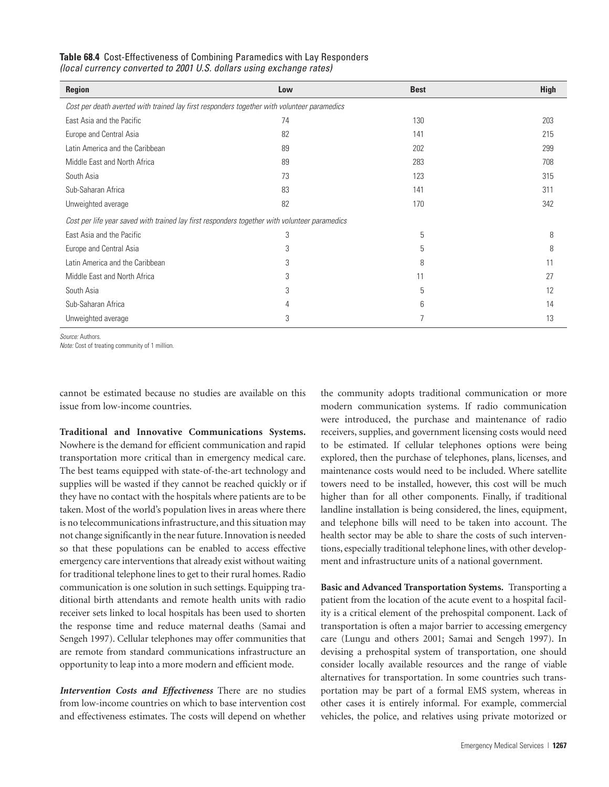| <b>Region</b>                                                                                 | Low | <b>Best</b> | <b>High</b> |  |  |  |  |
|-----------------------------------------------------------------------------------------------|-----|-------------|-------------|--|--|--|--|
| Cost per death averted with trained lay first responders together with volunteer paramedics   |     |             |             |  |  |  |  |
| East Asia and the Pacific                                                                     | 74  | 130         | 203         |  |  |  |  |
| Europe and Central Asia                                                                       | 82  | 141         | 215         |  |  |  |  |
| Latin America and the Caribbean                                                               | 89  | 202         | 299         |  |  |  |  |
| Middle East and North Africa                                                                  | 89  | 283         | 708         |  |  |  |  |
| South Asia                                                                                    | 73  | 123         | 315         |  |  |  |  |
| Sub-Saharan Africa                                                                            | 83  | 141         | 311         |  |  |  |  |
| Unweighted average                                                                            | 82  | 170         | 342         |  |  |  |  |
| Cost per life year saved with trained lay first responders together with volunteer paramedics |     |             |             |  |  |  |  |
| East Asia and the Pacific                                                                     | 3   | 5           | 8           |  |  |  |  |
| Europe and Central Asia                                                                       | 3   | 5           | 8           |  |  |  |  |
| Latin America and the Caribbean                                                               | 3   | 8           | 11          |  |  |  |  |
| Middle East and North Africa                                                                  | 3   | 11          | 27          |  |  |  |  |
| South Asia                                                                                    | 3   | 5           | 12          |  |  |  |  |
| Sub-Saharan Africa                                                                            | 4   | 6           | 14          |  |  |  |  |
| Unweighted average                                                                            | 3   | 7           | 13          |  |  |  |  |
|                                                                                               |     |             |             |  |  |  |  |

**Table 68.4** Cost-Effectiveness of Combining Paramedics with Lay Responders *(local currency converted to 2001 U.S. dollars using exchange rates)*

*Source:* Authors.

*Note:* Cost of treating community of 1 million.

cannot be estimated because no studies are available on this issue from low-income countries.

**Traditional and Innovative Communications Systems.** Nowhere is the demand for efficient communication and rapid transportation more critical than in emergency medical care. The best teams equipped with state-of-the-art technology and supplies will be wasted if they cannot be reached quickly or if they have no contact with the hospitals where patients are to be taken. Most of the world's population lives in areas where there is no telecommunications infrastructure, and this situation may not change significantly in the near future. Innovation is needed so that these populations can be enabled to access effective emergency care interventions that already exist without waiting for traditional telephone lines to get to their rural homes. Radio communication is one solution in such settings. Equipping traditional birth attendants and remote health units with radio receiver sets linked to local hospitals has been used to shorten the response time and reduce maternal deaths (Samai and Sengeh 1997). Cellular telephones may offer communities that are remote from standard communications infrastructure an opportunity to leap into a more modern and efficient mode.

*Intervention Costs and Effectiveness* There are no studies from low-income countries on which to base intervention cost and effectiveness estimates. The costs will depend on whether the community adopts traditional communication or more modern communication systems. If radio communication were introduced, the purchase and maintenance of radio receivers, supplies, and government licensing costs would need to be estimated. If cellular telephones options were being explored, then the purchase of telephones, plans, licenses, and maintenance costs would need to be included. Where satellite towers need to be installed, however, this cost will be much higher than for all other components. Finally, if traditional landline installation is being considered, the lines, equipment, and telephone bills will need to be taken into account. The health sector may be able to share the costs of such interventions, especially traditional telephone lines, with other development and infrastructure units of a national government.

**Basic and Advanced Transportation Systems.** Transporting a patient from the location of the acute event to a hospital facility is a critical element of the prehospital component. Lack of transportation is often a major barrier to accessing emergency care (Lungu and others 2001; Samai and Sengeh 1997). In devising a prehospital system of transportation, one should consider locally available resources and the range of viable alternatives for transportation. In some countries such transportation may be part of a formal EMS system, whereas in other cases it is entirely informal. For example, commercial vehicles, the police, and relatives using private motorized or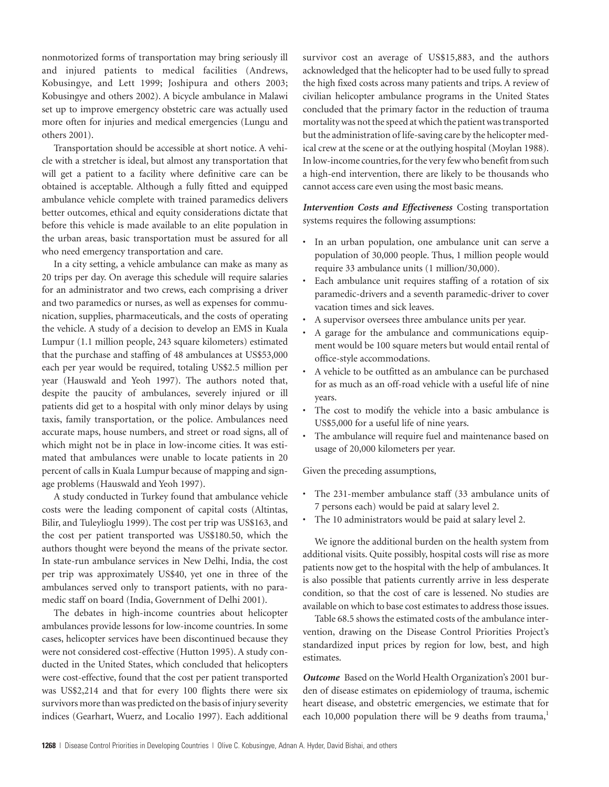nonmotorized forms of transportation may bring seriously ill and injured patients to medical facilities (Andrews, Kobusingye, and Lett 1999; Joshipura and others 2003; Kobusingye and others 2002). A bicycle ambulance in Malawi set up to improve emergency obstetric care was actually used more often for injuries and medical emergencies (Lungu and others 2001).

Transportation should be accessible at short notice. A vehicle with a stretcher is ideal, but almost any transportation that will get a patient to a facility where definitive care can be obtained is acceptable. Although a fully fitted and equipped ambulance vehicle complete with trained paramedics delivers better outcomes, ethical and equity considerations dictate that before this vehicle is made available to an elite population in the urban areas, basic transportation must be assured for all who need emergency transportation and care.

In a city setting, a vehicle ambulance can make as many as 20 trips per day. On average this schedule will require salaries for an administrator and two crews, each comprising a driver and two paramedics or nurses, as well as expenses for communication, supplies, pharmaceuticals, and the costs of operating the vehicle. A study of a decision to develop an EMS in Kuala Lumpur (1.1 million people, 243 square kilometers) estimated that the purchase and staffing of 48 ambulances at US\$53,000 each per year would be required, totaling US\$2.5 million per year (Hauswald and Yeoh 1997). The authors noted that, despite the paucity of ambulances, severely injured or ill patients did get to a hospital with only minor delays by using taxis, family transportation, or the police. Ambulances need accurate maps, house numbers, and street or road signs, all of which might not be in place in low-income cities. It was estimated that ambulances were unable to locate patients in 20 percent of calls in Kuala Lumpur because of mapping and signage problems (Hauswald and Yeoh 1997).

A study conducted in Turkey found that ambulance vehicle costs were the leading component of capital costs (Altintas, Bilir, and Tuleylioglu 1999). The cost per trip was US\$163, and the cost per patient transported was US\$180.50, which the authors thought were beyond the means of the private sector. In state-run ambulance services in New Delhi, India, the cost per trip was approximately US\$40, yet one in three of the ambulances served only to transport patients, with no paramedic staff on board (India, Government of Delhi 2001).

The debates in high-income countries about helicopter ambulances provide lessons for low-income countries. In some cases, helicopter services have been discontinued because they were not considered cost-effective (Hutton 1995). A study conducted in the United States, which concluded that helicopters were cost-effective, found that the cost per patient transported was US\$2,214 and that for every 100 flights there were six survivors more than was predicted on the basis of injury severity indices (Gearhart, Wuerz, and Localio 1997). Each additional

survivor cost an average of US\$15,883, and the authors acknowledged that the helicopter had to be used fully to spread the high fixed costs across many patients and trips. A review of civilian helicopter ambulance programs in the United States concluded that the primary factor in the reduction of trauma mortality was not the speed at which the patient was transported but the administration of life-saving care by the helicopter medical crew at the scene or at the outlying hospital (Moylan 1988). In low-income countries, for the very few who benefit from such a high-end intervention, there are likely to be thousands who cannot access care even using the most basic means.

*Intervention Costs and Effectiveness* Costing transportation systems requires the following assumptions:

- In an urban population, one ambulance unit can serve a population of 30,000 people. Thus, 1 million people would require 33 ambulance units (1 million/30,000).
- Each ambulance unit requires staffing of a rotation of six paramedic-drivers and a seventh paramedic-driver to cover vacation times and sick leaves.
- A supervisor oversees three ambulance units per year.
- A garage for the ambulance and communications equipment would be 100 square meters but would entail rental of office-style accommodations.
- A vehicle to be outfitted as an ambulance can be purchased for as much as an off-road vehicle with a useful life of nine years.
- The cost to modify the vehicle into a basic ambulance is US\$5,000 for a useful life of nine years.
- The ambulance will require fuel and maintenance based on usage of 20,000 kilometers per year.

Given the preceding assumptions,

- The 231-member ambulance staff (33 ambulance units of 7 persons each) would be paid at salary level 2.
- The 10 administrators would be paid at salary level 2.

We ignore the additional burden on the health system from additional visits. Quite possibly, hospital costs will rise as more patients now get to the hospital with the help of ambulances. It is also possible that patients currently arrive in less desperate condition, so that the cost of care is lessened. No studies are available on which to base cost estimates to address those issues.

Table 68.5 shows the estimated costs of the ambulance intervention, drawing on the Disease Control Priorities Project's standardized input prices by region for low, best, and high estimates.

*Outcome* Based on the World Health Organization's 2001 burden of disease estimates on epidemiology of trauma, ischemic heart disease, and obstetric emergencies, we estimate that for each 10,000 population there will be 9 deaths from trauma,<sup>1</sup>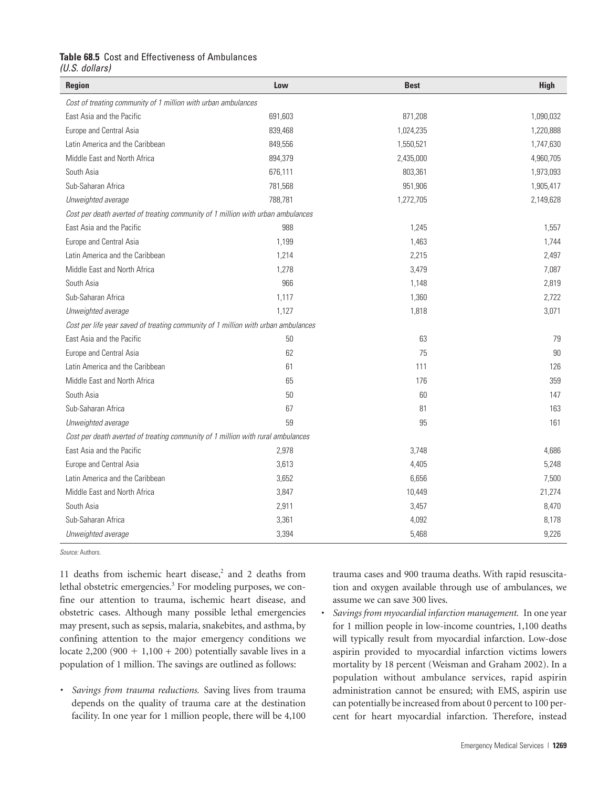#### **Table 68.5** Cost and Effectiveness of Ambulances *(U.S. dollars)*

|  |  |  | $\ddotsc$ |  |  |
|--|--|--|-----------|--|--|
|  |  |  |           |  |  |

| Region                                                                            | Low     | <b>Best</b> | <b>High</b> |
|-----------------------------------------------------------------------------------|---------|-------------|-------------|
| Cost of treating community of 1 million with urban ambulances                     |         |             |             |
| East Asia and the Pacific                                                         | 691,603 | 871,208     | 1,090,032   |
| Europe and Central Asia                                                           | 839,468 | 1,024,235   | 1,220,888   |
| Latin America and the Caribbean                                                   | 849,556 | 1,550,521   | 1,747,630   |
| Middle East and North Africa                                                      | 894,379 | 2,435,000   | 4,960,705   |
| South Asia                                                                        | 676,111 | 803,361     | 1,973,093   |
| Sub-Saharan Africa                                                                | 781,568 | 951,906     | 1,905,417   |
| Unweighted average                                                                | 788,781 | 1,272,705   | 2,149,628   |
| Cost per death averted of treating community of 1 million with urban ambulances   |         |             |             |
| East Asia and the Pacific                                                         | 988     | 1,245       | 1,557       |
| Europe and Central Asia                                                           | 1,199   | 1,463       | 1,744       |
| Latin America and the Caribbean                                                   | 1,214   | 2,215       | 2,497       |
| Middle East and North Africa                                                      | 1,278   | 3,479       | 7.087       |
| South Asia                                                                        | 966     | 1,148       | 2,819       |
| Sub-Saharan Africa                                                                | 1,117   | 1,360       | 2.722       |
| Unweighted average                                                                | 1,127   | 1,818       | 3,071       |
| Cost per life year saved of treating community of 1 million with urban ambulances |         |             |             |
| East Asia and the Pacific                                                         | 50      | 63          | 79          |
| Europe and Central Asia                                                           | 62      | 75          | 90          |
| Latin America and the Caribbean                                                   | 61      | 111         | 126         |
| Middle East and North Africa                                                      | 65      | 176         | 359         |
| South Asia                                                                        | 50      | 60          | 147         |
| Sub-Saharan Africa                                                                | 67      | 81          | 163         |
| Unweighted average                                                                | 59      | 95          | 161         |
| Cost per death averted of treating community of 1 million with rural ambulances   |         |             |             |
| East Asia and the Pacific                                                         | 2,978   | 3,748       | 4,686       |
| Europe and Central Asia                                                           | 3,613   | 4,405       | 5,248       |
| Latin America and the Caribbean                                                   | 3,652   | 6,656       | 7,500       |
| Middle East and North Africa                                                      | 3,847   | 10,449      | 21,274      |
| South Asia                                                                        | 2,911   | 3,457       | 8,470       |
| Sub-Saharan Africa                                                                | 3,361   | 4,092       | 8,178       |
| Unweighted average                                                                | 3,394   | 5,468       | 9,226       |

*Source:* Authors.

11 deaths from ischemic heart disease, $2$  and 2 deaths from lethal obstetric emergencies.<sup>3</sup> For modeling purposes, we confine our attention to trauma, ischemic heart disease, and obstetric cases. Although many possible lethal emergencies may present, such as sepsis, malaria, snakebites, and asthma, by confining attention to the major emergency conditions we locate 2,200 (900  $+$  1,100  $+$  200) potentially savable lives in a population of 1 million. The savings are outlined as follows:

*• Savings from trauma reductions.* Saving lives from trauma depends on the quality of trauma care at the destination facility. In one year for 1 million people, there will be 4,100

trauma cases and 900 trauma deaths. With rapid resuscitation and oxygen available through use of ambulances, we assume we can save 300 lives.

*• Savings from myocardial infarction management.* In one year for 1 million people in low-income countries, 1,100 deaths will typically result from myocardial infarction. Low-dose aspirin provided to myocardial infarction victims lowers mortality by 18 percent (Weisman and Graham 2002). In a population without ambulance services, rapid aspirin administration cannot be ensured; with EMS, aspirin use can potentially be increased from about 0 percent to 100 percent for heart myocardial infarction. Therefore, instead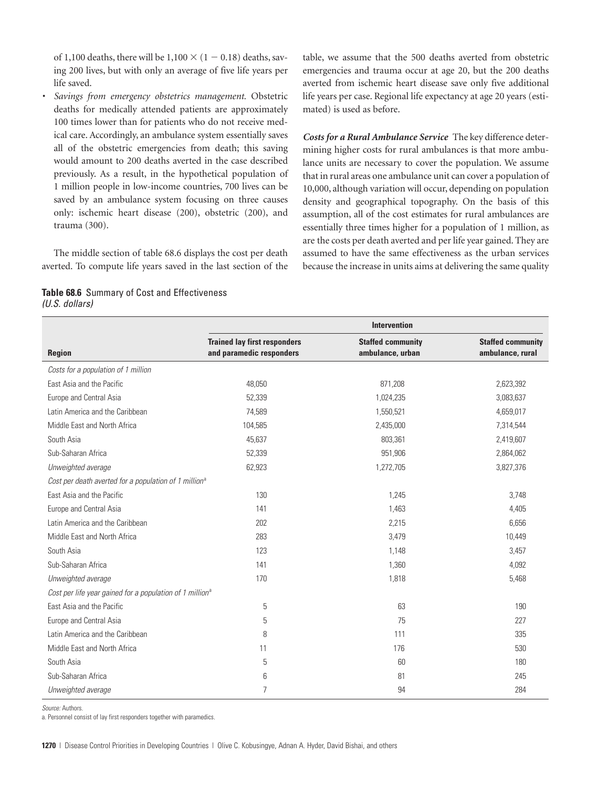of 1,100 deaths, there will be  $1,100 \times (1 - 0.18)$  deaths, saving 200 lives, but with only an average of five life years per life saved.

*• Savings from emergency obstetrics management.* Obstetric deaths for medically attended patients are approximately 100 times lower than for patients who do not receive medical care. Accordingly, an ambulance system essentially saves all of the obstetric emergencies from death; this saving would amount to 200 deaths averted in the case described previously. As a result, in the hypothetical population of 1 million people in low-income countries, 700 lives can be saved by an ambulance system focusing on three causes only: ischemic heart disease (200), obstetric (200), and trauma (300).

The middle section of table 68.6 displays the cost per death averted. To compute life years saved in the last section of the

**Table 68.6** Summary of Cost and Effectiveness

*(U.S. dollars)*

table, we assume that the 500 deaths averted from obstetric emergencies and trauma occur at age 20, but the 200 deaths averted from ischemic heart disease save only five additional life years per case. Regional life expectancy at age 20 years (estimated) is used as before.

*Costs for a Rural Ambulance Service* The key difference determining higher costs for rural ambulances is that more ambulance units are necessary to cover the population. We assume that in rural areas one ambulance unit can cover a population of 10,000, although variation will occur, depending on population density and geographical topography. On the basis of this assumption, all of the cost estimates for rural ambulances are essentially three times higher for a population of 1 million, as are the costs per death averted and per life year gained. They are assumed to have the same effectiveness as the urban services because the increase in units aims at delivering the same quality

|                                                                      |                                                                 | Intervention                                 |                                              |
|----------------------------------------------------------------------|-----------------------------------------------------------------|----------------------------------------------|----------------------------------------------|
| <b>Region</b>                                                        | <b>Trained lay first responders</b><br>and paramedic responders | <b>Staffed community</b><br>ambulance, urban | <b>Staffed community</b><br>ambulance, rural |
| Costs for a population of 1 million                                  |                                                                 |                                              |                                              |
| East Asia and the Pacific                                            | 48.050                                                          | 871,208                                      | 2,623,392                                    |
| Europe and Central Asia                                              | 52,339                                                          | 1,024,235                                    | 3,083,637                                    |
| Latin America and the Caribbean                                      | 74,589                                                          | 1,550,521                                    | 4,659,017                                    |
| Middle East and North Africa                                         | 104,585                                                         | 2,435,000                                    | 7,314,544                                    |
| South Asia                                                           | 45,637                                                          | 803,361                                      | 2,419,607                                    |
| Sub-Saharan Africa                                                   | 52,339                                                          | 951.906                                      | 2,864,062                                    |
| Unweighted average                                                   | 62,923                                                          | 1,272,705                                    | 3,827,376                                    |
| Cost per death averted for a population of 1 million <sup>a</sup>    |                                                                 |                                              |                                              |
| East Asia and the Pacific                                            | 130                                                             | 1,245                                        | 3,748                                        |
| Europe and Central Asia                                              | 141                                                             | 1,463                                        | 4,405                                        |
| Latin America and the Caribbean                                      | 202                                                             | 2,215                                        | 6.656                                        |
| Middle East and North Africa                                         | 283                                                             | 3,479                                        | 10,449                                       |
| South Asia                                                           | 123                                                             | 1,148                                        | 3.457                                        |
| Sub-Saharan Africa                                                   | 141                                                             | 1,360                                        | 4,092                                        |
| Unweighted average                                                   | 170                                                             | 1,818                                        | 5,468                                        |
| Cost per life year gained for a population of 1 million <sup>a</sup> |                                                                 |                                              |                                              |
| East Asia and the Pacific                                            | 5                                                               | 63                                           | 190                                          |
| Europe and Central Asia                                              | 5                                                               | 75                                           | 227                                          |
| Latin America and the Caribbean                                      | 8                                                               | 111                                          | 335                                          |
| Middle East and North Africa                                         | 11                                                              | 176                                          | 530                                          |
| South Asia                                                           | 5                                                               | 60                                           | 180                                          |
| Sub-Saharan Africa                                                   | 6                                                               | 81                                           | 245                                          |
| Unweighted average                                                   | 7                                                               | 94                                           | 284                                          |

*Source:* Authors.

a. Personnel consist of lay first responders together with paramedics.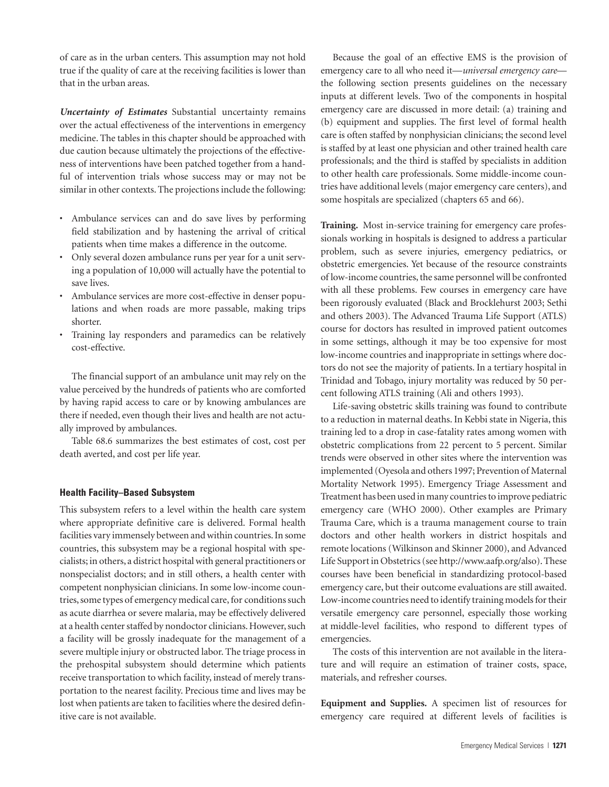of care as in the urban centers. This assumption may not hold true if the quality of care at the receiving facilities is lower than that in the urban areas.

*Uncertainty of Estimates* Substantial uncertainty remains over the actual effectiveness of the interventions in emergency medicine. The tables in this chapter should be approached with due caution because ultimately the projections of the effectiveness of interventions have been patched together from a handful of intervention trials whose success may or may not be similar in other contexts. The projections include the following:

- Ambulance services can and do save lives by performing field stabilization and by hastening the arrival of critical patients when time makes a difference in the outcome.
- Only several dozen ambulance runs per year for a unit serving a population of 10,000 will actually have the potential to save lives.
- Ambulance services are more cost-effective in denser populations and when roads are more passable, making trips shorter.
- Training lay responders and paramedics can be relatively cost-effective.

The financial support of an ambulance unit may rely on the value perceived by the hundreds of patients who are comforted by having rapid access to care or by knowing ambulances are there if needed, even though their lives and health are not actually improved by ambulances.

Table 68.6 summarizes the best estimates of cost, cost per death averted, and cost per life year.

## **Health Facility–Based Subsystem**

This subsystem refers to a level within the health care system where appropriate definitive care is delivered. Formal health facilities vary immensely between and within countries. In some countries, this subsystem may be a regional hospital with specialists; in others, a district hospital with general practitioners or nonspecialist doctors; and in still others, a health center with competent nonphysician clinicians. In some low-income countries, some types of emergency medical care, for conditions such as acute diarrhea or severe malaria, may be effectively delivered at a health center staffed by nondoctor clinicians. However, such a facility will be grossly inadequate for the management of a severe multiple injury or obstructed labor. The triage process in the prehospital subsystem should determine which patients receive transportation to which facility, instead of merely transportation to the nearest facility. Precious time and lives may be lost when patients are taken to facilities where the desired definitive care is not available.

Because the goal of an effective EMS is the provision of emergency care to all who need it—*universal emergency care* the following section presents guidelines on the necessary inputs at different levels. Two of the components in hospital emergency care are discussed in more detail: (a) training and (b) equipment and supplies. The first level of formal health care is often staffed by nonphysician clinicians; the second level is staffed by at least one physician and other trained health care professionals; and the third is staffed by specialists in addition to other health care professionals. Some middle-income countries have additional levels (major emergency care centers), and some hospitals are specialized (chapters 65 and 66).

**Training.** Most in-service training for emergency care professionals working in hospitals is designed to address a particular problem, such as severe injuries, emergency pediatrics, or obstetric emergencies. Yet because of the resource constraints of low-income countries, the same personnel will be confronted with all these problems. Few courses in emergency care have been rigorously evaluated (Black and Brocklehurst 2003; Sethi and others 2003). The Advanced Trauma Life Support (ATLS) course for doctors has resulted in improved patient outcomes in some settings, although it may be too expensive for most low-income countries and inappropriate in settings where doctors do not see the majority of patients. In a tertiary hospital in Trinidad and Tobago, injury mortality was reduced by 50 percent following ATLS training (Ali and others 1993).

Life-saving obstetric skills training was found to contribute to a reduction in maternal deaths. In Kebbi state in Nigeria, this training led to a drop in case-fatality rates among women with obstetric complications from 22 percent to 5 percent. Similar trends were observed in other sites where the intervention was implemented (Oyesola and others 1997; Prevention of Maternal Mortality Network 1995). Emergency Triage Assessment and Treatment has been used in many countries to improve pediatric emergency care (WHO 2000). Other examples are Primary Trauma Care, which is a trauma management course to train doctors and other health workers in district hospitals and remote locations (Wilkinson and Skinner 2000), and Advanced Life Support in Obstetrics (see http://www.aafp.org/also). These courses have been beneficial in standardizing protocol-based emergency care, but their outcome evaluations are still awaited. Low-income countries need to identify training models for their versatile emergency care personnel, especially those working at middle-level facilities, who respond to different types of emergencies.

The costs of this intervention are not available in the literature and will require an estimation of trainer costs, space, materials, and refresher courses.

**Equipment and Supplies.** A specimen list of resources for emergency care required at different levels of facilities is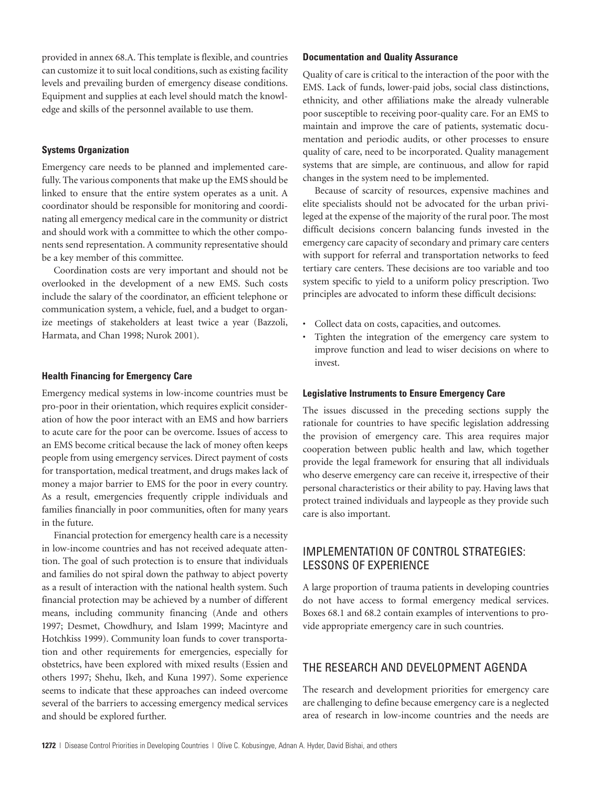provided in annex 68.A. This template is flexible, and countries can customize it to suit local conditions, such as existing facility levels and prevailing burden of emergency disease conditions. Equipment and supplies at each level should match the knowledge and skills of the personnel available to use them.

#### **Systems Organization**

Emergency care needs to be planned and implemented carefully. The various components that make up the EMS should be linked to ensure that the entire system operates as a unit. A coordinator should be responsible for monitoring and coordinating all emergency medical care in the community or district and should work with a committee to which the other components send representation. A community representative should be a key member of this committee.

Coordination costs are very important and should not be overlooked in the development of a new EMS. Such costs include the salary of the coordinator, an efficient telephone or communication system, a vehicle, fuel, and a budget to organize meetings of stakeholders at least twice a year (Bazzoli, Harmata, and Chan 1998; Nurok 2001).

#### **Health Financing for Emergency Care**

Emergency medical systems in low-income countries must be pro-poor in their orientation, which requires explicit consideration of how the poor interact with an EMS and how barriers to acute care for the poor can be overcome. Issues of access to an EMS become critical because the lack of money often keeps people from using emergency services. Direct payment of costs for transportation, medical treatment, and drugs makes lack of money a major barrier to EMS for the poor in every country. As a result, emergencies frequently cripple individuals and families financially in poor communities, often for many years in the future.

Financial protection for emergency health care is a necessity in low-income countries and has not received adequate attention. The goal of such protection is to ensure that individuals and families do not spiral down the pathway to abject poverty as a result of interaction with the national health system. Such financial protection may be achieved by a number of different means, including community financing (Ande and others 1997; Desmet, Chowdhury, and Islam 1999; Macintyre and Hotchkiss 1999). Community loan funds to cover transportation and other requirements for emergencies, especially for obstetrics, have been explored with mixed results (Essien and others 1997; Shehu, Ikeh, and Kuna 1997). Some experience seems to indicate that these approaches can indeed overcome several of the barriers to accessing emergency medical services and should be explored further.

#### **Documentation and Quality Assurance**

Quality of care is critical to the interaction of the poor with the EMS. Lack of funds, lower-paid jobs, social class distinctions, ethnicity, and other affiliations make the already vulnerable poor susceptible to receiving poor-quality care. For an EMS to maintain and improve the care of patients, systematic documentation and periodic audits, or other processes to ensure quality of care, need to be incorporated. Quality management systems that are simple, are continuous, and allow for rapid changes in the system need to be implemented.

Because of scarcity of resources, expensive machines and elite specialists should not be advocated for the urban privileged at the expense of the majority of the rural poor. The most difficult decisions concern balancing funds invested in the emergency care capacity of secondary and primary care centers with support for referral and transportation networks to feed tertiary care centers. These decisions are too variable and too system specific to yield to a uniform policy prescription. Two principles are advocated to inform these difficult decisions:

- Collect data on costs, capacities, and outcomes.
- Tighten the integration of the emergency care system to improve function and lead to wiser decisions on where to invest.

#### **Legislative Instruments to Ensure Emergency Care**

The issues discussed in the preceding sections supply the rationale for countries to have specific legislation addressing the provision of emergency care. This area requires major cooperation between public health and law, which together provide the legal framework for ensuring that all individuals who deserve emergency care can receive it, irrespective of their personal characteristics or their ability to pay. Having laws that protect trained individuals and laypeople as they provide such care is also important.

# IMPLEMENTATION OF CONTROL STRATEGIES: LESSONS OF EXPERIENCE

A large proportion of trauma patients in developing countries do not have access to formal emergency medical services. Boxes 68.1 and 68.2 contain examples of interventions to provide appropriate emergency care in such countries.

# THE RESEARCH AND DEVELOPMENT AGENDA

The research and development priorities for emergency care are challenging to define because emergency care is a neglected area of research in low-income countries and the needs are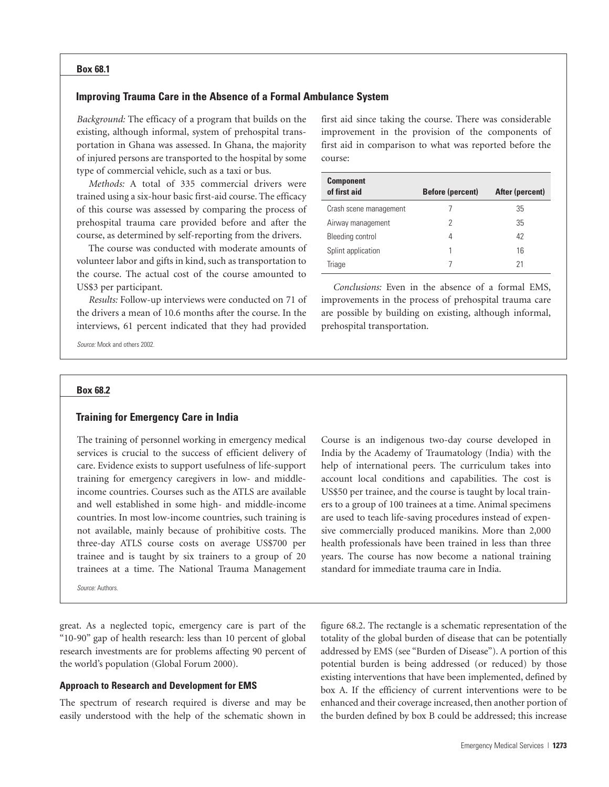#### **Box 68.1**

#### **Improving Trauma Care in the Absence of a Formal Ambulance System**

*Background:* The efficacy of a program that builds on the existing, although informal, system of prehospital transportation in Ghana was assessed. In Ghana, the majority of injured persons are transported to the hospital by some type of commercial vehicle, such as a taxi or bus.

*Methods:* A total of 335 commercial drivers were trained using a six-hour basic first-aid course. The efficacy of this course was assessed by comparing the process of prehospital trauma care provided before and after the course, as determined by self-reporting from the drivers.

The course was conducted with moderate amounts of volunteer labor and gifts in kind, such as transportation to the course. The actual cost of the course amounted to US\$3 per participant.

*Results:* Follow-up interviews were conducted on 71 of the drivers a mean of 10.6 months after the course. In the interviews, 61 percent indicated that they had provided

first aid since taking the course. There was considerable improvement in the provision of the components of first aid in comparison to what was reported before the course:

| <b>Component</b><br>of first aid | <b>Before (percent)</b> | After (percent) |
|----------------------------------|-------------------------|-----------------|
| Crash scene management           |                         | 35              |
| Airway management                | 2                       | 35              |
| Bleeding control                 | 4                       | 42              |
| Splint application               |                         | 16              |
| Triage                           |                         | 21              |

*Conclusions:* Even in the absence of a formal EMS, improvements in the process of prehospital trauma care are possible by building on existing, although informal, prehospital transportation.

*Source:* Mock and others 2002.

#### **Box 68.2**

#### **Training for Emergency Care in India**

The training of personnel working in emergency medical services is crucial to the success of efficient delivery of care. Evidence exists to support usefulness of life-support training for emergency caregivers in low- and middleincome countries. Courses such as the ATLS are available and well established in some high- and middle-income countries. In most low-income countries, such training is not available, mainly because of prohibitive costs. The three-day ATLS course costs on average US\$700 per trainee and is taught by six trainers to a group of 20 trainees at a time. The National Trauma Management

*Source:* Authors.

Course is an indigenous two-day course developed in India by the Academy of Traumatology (India) with the help of international peers. The curriculum takes into account local conditions and capabilities. The cost is US\$50 per trainee, and the course is taught by local trainers to a group of 100 trainees at a time. Animal specimens are used to teach life-saving procedures instead of expensive commercially produced manikins. More than 2,000 health professionals have been trained in less than three years. The course has now become a national training standard for immediate trauma care in India.

great. As a neglected topic, emergency care is part of the "10-90" gap of health research: less than 10 percent of global research investments are for problems affecting 90 percent of the world's population (Global Forum 2000).

#### **Approach to Research and Development for EMS**

The spectrum of research required is diverse and may be easily understood with the help of the schematic shown in figure 68.2. The rectangle is a schematic representation of the totality of the global burden of disease that can be potentially addressed by EMS (see "Burden of Disease"). A portion of this potential burden is being addressed (or reduced) by those existing interventions that have been implemented, defined by box A. If the efficiency of current interventions were to be enhanced and their coverage increased, then another portion of the burden defined by box B could be addressed; this increase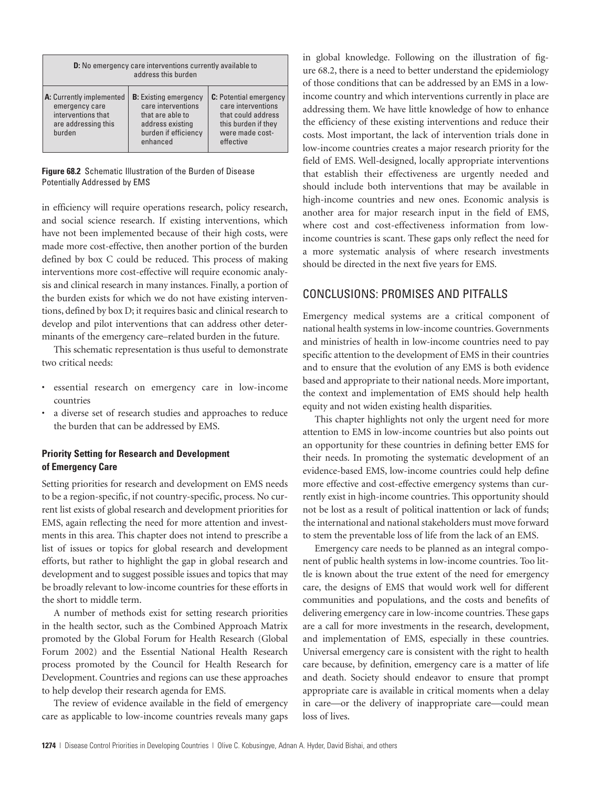| <b>D:</b> No emergency care interventions currently available to<br>address this burden           |                                                                                                                                |                                                                                                                                  |  |  |  |  |
|---------------------------------------------------------------------------------------------------|--------------------------------------------------------------------------------------------------------------------------------|----------------------------------------------------------------------------------------------------------------------------------|--|--|--|--|
| A: Currently implemented<br>emergency care<br>interventions that<br>are addressing this<br>burden | <b>B:</b> Existing emergency<br>care interventions<br>that are able to<br>address existing<br>burden if efficiency<br>enhanced | <b>C:</b> Potential emergency<br>care interventions<br>that could address<br>this burden if they<br>were made cost-<br>effective |  |  |  |  |

**Figure 68.2** Schematic Illustration of the Burden of Disease Potentially Addressed by EMS

in efficiency will require operations research, policy research, and social science research. If existing interventions, which have not been implemented because of their high costs, were made more cost-effective, then another portion of the burden defined by box C could be reduced. This process of making interventions more cost-effective will require economic analysis and clinical research in many instances. Finally, a portion of the burden exists for which we do not have existing interventions, defined by box D; it requires basic and clinical research to develop and pilot interventions that can address other determinants of the emergency care–related burden in the future.

This schematic representation is thus useful to demonstrate two critical needs:

- essential research on emergency care in low-income countries
- a diverse set of research studies and approaches to reduce the burden that can be addressed by EMS.

## **Priority Setting for Research and Development of Emergency Care**

Setting priorities for research and development on EMS needs to be a region-specific, if not country-specific, process. No current list exists of global research and development priorities for EMS, again reflecting the need for more attention and investments in this area. This chapter does not intend to prescribe a list of issues or topics for global research and development efforts, but rather to highlight the gap in global research and development and to suggest possible issues and topics that may be broadly relevant to low-income countries for these efforts in the short to middle term.

A number of methods exist for setting research priorities in the health sector, such as the Combined Approach Matrix promoted by the Global Forum for Health Research (Global Forum 2002) and the Essential National Health Research process promoted by the Council for Health Research for Development. Countries and regions can use these approaches to help develop their research agenda for EMS.

The review of evidence available in the field of emergency care as applicable to low-income countries reveals many gaps

in global knowledge. Following on the illustration of figure 68.2, there is a need to better understand the epidemiology of those conditions that can be addressed by an EMS in a lowincome country and which interventions currently in place are addressing them. We have little knowledge of how to enhance the efficiency of these existing interventions and reduce their costs. Most important, the lack of intervention trials done in low-income countries creates a major research priority for the field of EMS. Well-designed, locally appropriate interventions that establish their effectiveness are urgently needed and should include both interventions that may be available in high-income countries and new ones. Economic analysis is another area for major research input in the field of EMS, where cost and cost-effectiveness information from lowincome countries is scant. These gaps only reflect the need for a more systematic analysis of where research investments should be directed in the next five years for EMS.

## CONCLUSIONS: PROMISES AND PITFALLS

Emergency medical systems are a critical component of national health systems in low-income countries. Governments and ministries of health in low-income countries need to pay specific attention to the development of EMS in their countries and to ensure that the evolution of any EMS is both evidence based and appropriate to their national needs. More important, the context and implementation of EMS should help health equity and not widen existing health disparities.

This chapter highlights not only the urgent need for more attention to EMS in low-income countries but also points out an opportunity for these countries in defining better EMS for their needs. In promoting the systematic development of an evidence-based EMS, low-income countries could help define more effective and cost-effective emergency systems than currently exist in high-income countries. This opportunity should not be lost as a result of political inattention or lack of funds; the international and national stakeholders must move forward to stem the preventable loss of life from the lack of an EMS.

Emergency care needs to be planned as an integral component of public health systems in low-income countries. Too little is known about the true extent of the need for emergency care, the designs of EMS that would work well for different communities and populations, and the costs and benefits of delivering emergency care in low-income countries. These gaps are a call for more investments in the research, development, and implementation of EMS, especially in these countries. Universal emergency care is consistent with the right to health care because, by definition, emergency care is a matter of life and death. Society should endeavor to ensure that prompt appropriate care is available in critical moments when a delay in care—or the delivery of inappropriate care—could mean loss of lives.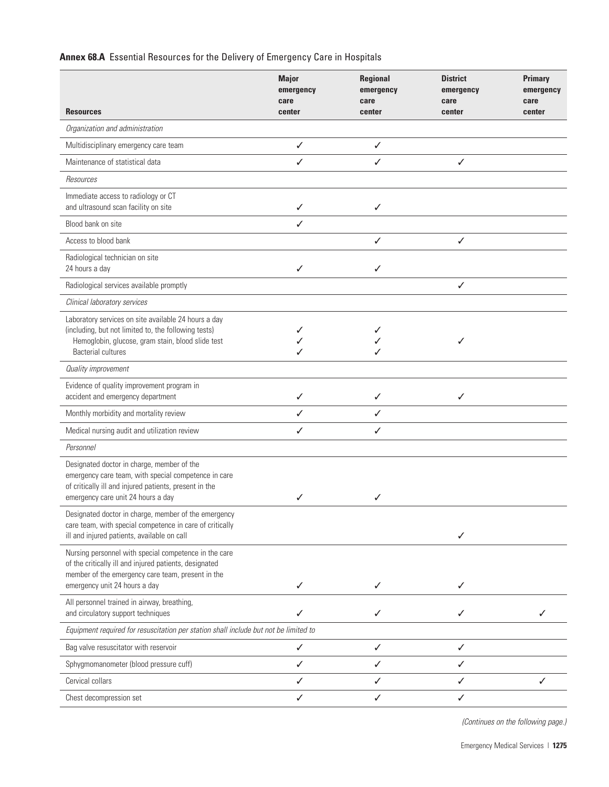# **Annex 68.A** Essential Resources for the Delivery of Emergency Care in Hospitals

|                                                                                                                                                                                                       | <b>Major</b><br>emergency<br>care | Regional<br>emergency<br>care | <b>District</b><br>emergency<br>care | <b>Primary</b><br>emergency<br>care |
|-------------------------------------------------------------------------------------------------------------------------------------------------------------------------------------------------------|-----------------------------------|-------------------------------|--------------------------------------|-------------------------------------|
| <b>Resources</b>                                                                                                                                                                                      | center                            | center                        | center                               | center                              |
| Organization and administration                                                                                                                                                                       |                                   |                               |                                      |                                     |
| Multidisciplinary emergency care team                                                                                                                                                                 | ✓                                 | $\checkmark$                  |                                      |                                     |
| Maintenance of statistical data                                                                                                                                                                       | ✓                                 | ✓                             | ✓                                    |                                     |
| Resources                                                                                                                                                                                             |                                   |                               |                                      |                                     |
| Immediate access to radiology or CT<br>and ultrasound scan facility on site                                                                                                                           | ✓                                 | ✓                             |                                      |                                     |
| Blood bank on site                                                                                                                                                                                    | ✓                                 |                               |                                      |                                     |
| Access to blood bank                                                                                                                                                                                  |                                   | $\checkmark$                  | ✓                                    |                                     |
| Radiological technician on site<br>24 hours a day                                                                                                                                                     | ✓                                 | ✓                             |                                      |                                     |
| Radiological services available promptly                                                                                                                                                              |                                   |                               | $\checkmark$                         |                                     |
| Clinical laboratory services                                                                                                                                                                          |                                   |                               |                                      |                                     |
| Laboratory services on site available 24 hours a day<br>(including, but not limited to, the following tests)<br>Hemoglobin, glucose, gram stain, blood slide test<br><b>Bacterial cultures</b>        | ✓<br>ℐ                            |                               | ✓                                    |                                     |
| Quality improvement                                                                                                                                                                                   |                                   |                               |                                      |                                     |
| Evidence of quality improvement program in<br>accident and emergency department                                                                                                                       | ✓                                 | ✓                             | ✓                                    |                                     |
| Monthly morbidity and mortality review                                                                                                                                                                | ✓                                 | ✓                             |                                      |                                     |
| Medical nursing audit and utilization review                                                                                                                                                          | ✓                                 | ✓                             |                                      |                                     |
| Personnel                                                                                                                                                                                             |                                   |                               |                                      |                                     |
| Designated doctor in charge, member of the<br>emergency care team, with special competence in care<br>of critically ill and injured patients, present in the<br>emergency care unit 24 hours a day    | ✓                                 | ✓                             |                                      |                                     |
| Designated doctor in charge, member of the emergency<br>care team, with special competence in care of critically<br>ill and injured patients, available on call                                       |                                   |                               | ✓                                    |                                     |
| Nursing personnel with special competence in the care<br>of the critically ill and injured patients, designated<br>member of the emergency care team, present in the<br>emergency unit 24 hours a day | ✓                                 | ✓                             | ✓                                    |                                     |
| All personnel trained in airway, breathing,<br>and circulatory support techniques                                                                                                                     | ✓                                 | ✓                             | ✓                                    | ✓                                   |
| Equipment required for resuscitation per station shall include but not be limited to                                                                                                                  |                                   |                               |                                      |                                     |
| Bag valve resuscitator with reservoir                                                                                                                                                                 | ✓                                 | ✓                             | ✓                                    |                                     |
| Sphygmomanometer (blood pressure cuff)                                                                                                                                                                | ✓                                 | ✓                             | ✓                                    |                                     |
| Cervical collars                                                                                                                                                                                      | ✓                                 | ✓                             | ✓                                    | ✓                                   |
| Chest decompression set                                                                                                                                                                               | ✓                                 | ✓                             | ✓                                    |                                     |

*(Continues on the following page.)*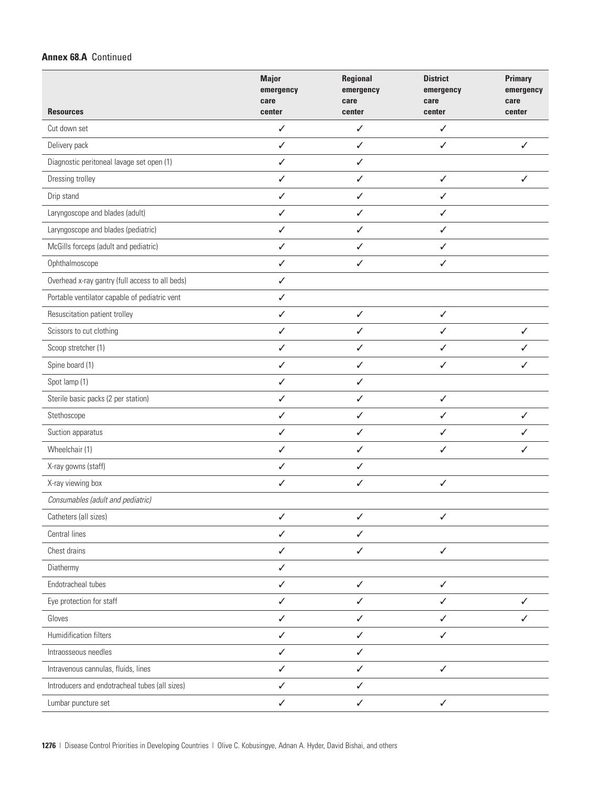# **Annex 68.A** Continued

|                                                                                                  | <b>Major</b><br>emergency<br>care | Regional<br>emergency<br>care | <b>District</b><br>emergency<br>care | <b>Primary</b><br>emergency<br>care |
|--------------------------------------------------------------------------------------------------|-----------------------------------|-------------------------------|--------------------------------------|-------------------------------------|
| <b>Resources</b>                                                                                 | center                            | center                        | center                               | center                              |
| Cut down set                                                                                     | ✓                                 | $\checkmark$                  | ✓                                    | ✓                                   |
| Delivery pack                                                                                    | ✓                                 | $\checkmark$                  | ✓                                    |                                     |
| Diagnostic peritoneal lavage set open (1)                                                        | ✓<br>✓                            | ✓                             |                                      |                                     |
| Dressing trolley<br>Drip stand                                                                   | ✓                                 | ✓<br>$\checkmark$             | $\checkmark$<br>✓                    | ✓                                   |
| Laryngoscope and blades (adult)                                                                  | ✓                                 | $\checkmark$                  | ✓                                    |                                     |
| Laryngoscope and blades (pediatric)                                                              | ✓                                 | ✓                             | ✓                                    |                                     |
| McGills forceps (adult and pediatric)                                                            | ✓                                 | $\checkmark$                  | ✓                                    |                                     |
| Ophthalmoscope                                                                                   | ✓                                 | $\checkmark$                  | ✓                                    |                                     |
|                                                                                                  | ✓                                 |                               |                                      |                                     |
| Overhead x-ray gantry (full access to all beds)<br>Portable ventilator capable of pediatric vent | $\checkmark$                      |                               |                                      |                                     |
| Resuscitation patient trolley                                                                    | ✓                                 | $\checkmark$                  | ✓                                    |                                     |
| Scissors to cut clothing                                                                         | ✓                                 | $\checkmark$                  | ✓                                    | $\checkmark$                        |
| Scoop stretcher (1)                                                                              | ✓                                 | $\checkmark$                  | ✓                                    | ✓                                   |
| Spine board (1)                                                                                  | ✓                                 | $\checkmark$                  | ✓                                    | ✓                                   |
| Spot lamp (1)                                                                                    | ✓                                 | ✓                             |                                      |                                     |
| Sterile basic packs (2 per station)                                                              | ✓                                 | ✓                             | $\checkmark$                         |                                     |
| Stethoscope                                                                                      | ✓                                 | $\checkmark$                  | $\checkmark$                         | $\checkmark$                        |
| Suction apparatus                                                                                | ✓                                 | $\checkmark$                  | ✓                                    | ✓                                   |
| Wheelchair (1)                                                                                   | ✓                                 | $\checkmark$                  | ✓                                    | ✓                                   |
| X-ray gowns (staff)                                                                              | ✓                                 | $\checkmark$                  |                                      |                                     |
| X-ray viewing box                                                                                | $\checkmark$                      | $\checkmark$                  | $\checkmark$                         |                                     |
| Consumables (adult and pediatric)                                                                |                                   |                               |                                      |                                     |
| Catheters (all sizes)                                                                            | ✓                                 | $\checkmark$                  | ✓                                    |                                     |
| <b>Central lines</b>                                                                             | $\checkmark$                      | $\checkmark$                  |                                      |                                     |
| Chest drains                                                                                     | ✓                                 | $\checkmark$                  | $\checkmark$                         |                                     |
| Diathermy                                                                                        | $\checkmark$                      |                               |                                      |                                     |
| Endotracheal tubes                                                                               | ✓                                 | $\checkmark$                  | $\checkmark$                         |                                     |
| Eye protection for staff                                                                         | $\checkmark$                      | $\checkmark$                  | $\checkmark$                         | ✓                                   |
| Gloves                                                                                           | ✓                                 | ✓                             | $\checkmark$                         | ✓                                   |
| Humidification filters                                                                           | $\checkmark$                      | $\checkmark$                  | ✓                                    |                                     |
| Intraosseous needles                                                                             | ✓                                 | $\checkmark$                  |                                      |                                     |
| Intravenous cannulas, fluids, lines                                                              | ✓                                 | $\checkmark$                  | $\checkmark$                         |                                     |
| Introducers and endotracheal tubes (all sizes)                                                   | $\checkmark$                      | ✓                             |                                      |                                     |
|                                                                                                  |                                   |                               |                                      |                                     |
| Lumbar puncture set                                                                              | ✓                                 | ✓                             | $\checkmark$                         |                                     |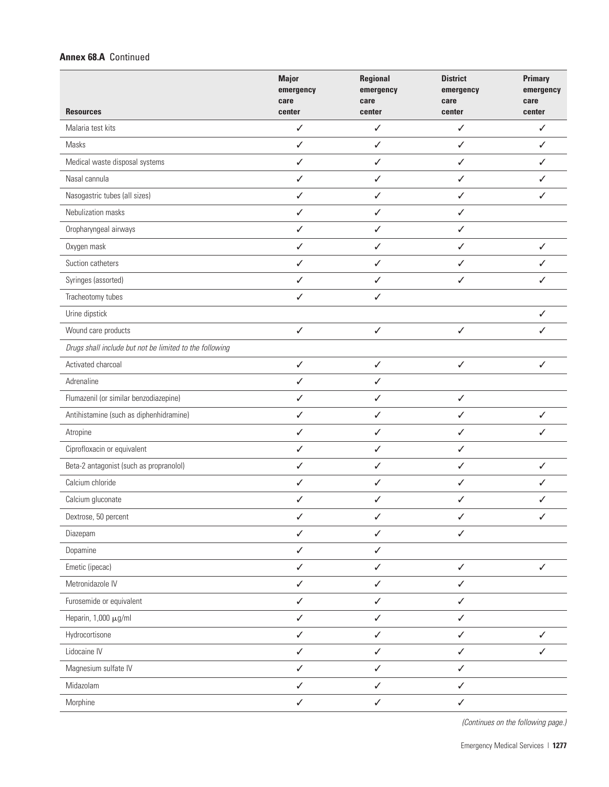# **Annex 68.A** Continued

|                                                         | <b>Major</b><br>emergency<br>care | Regional<br>emergency<br>care | <b>District</b><br>emergency<br>care | <b>Primary</b><br>emergency<br>care |
|---------------------------------------------------------|-----------------------------------|-------------------------------|--------------------------------------|-------------------------------------|
| <b>Resources</b>                                        | center                            | center                        | center                               | center                              |
| Malaria test kits                                       | ✓                                 | ✓                             | $\checkmark$                         | ✓                                   |
| Masks                                                   | ✓                                 | ✓                             | ✓                                    | ✓                                   |
| Medical waste disposal systems                          | ✓                                 | ✓                             | ✓                                    | ✓                                   |
| Nasal cannula                                           | ✓                                 | ✓                             | ✓                                    | ✓                                   |
| Nasogastric tubes (all sizes)                           | ✓                                 | ✓                             | ✓                                    | ✓                                   |
| Nebulization masks                                      | ✓                                 | ✓                             | ✓                                    |                                     |
| Oropharyngeal airways                                   | ✓                                 | ✓                             | ✓                                    |                                     |
| Oxygen mask                                             | ✓                                 | ✓                             | ✓                                    | ✓                                   |
| Suction catheters                                       | ✓                                 | ✓                             | ✓                                    | ✓                                   |
| Syringes (assorted)                                     | ✓                                 | ✓                             | ✓                                    | ✓                                   |
| Tracheotomy tubes                                       | ✓                                 | ✓                             |                                      |                                     |
| Urine dipstick                                          |                                   |                               |                                      | ✓                                   |
| Wound care products                                     | $\checkmark$                      | ✓                             | ✓                                    | ✓                                   |
| Drugs shall include but not be limited to the following |                                   |                               |                                      |                                     |
| Activated charcoal                                      | ✓                                 | ✓                             | $\checkmark$                         | ✓                                   |
| Adrenaline                                              | ✓                                 | ✓                             |                                      |                                     |
| Flumazenil (or similar benzodiazepine)                  | ✓                                 | ✓                             | $\checkmark$                         |                                     |
| Antihistamine (such as diphenhidramine)                 | ✓                                 | ✓                             | $\checkmark$                         | ✓                                   |
| Atropine                                                | ✓                                 | ✓                             | ✓                                    | ✓                                   |
| Ciprofloxacin or equivalent                             | ✓                                 | ✓                             | ✓                                    |                                     |
| Beta-2 antagonist (such as propranolol)                 | ✓                                 | ✓                             | ✓                                    | ✓                                   |
| Calcium chloride                                        | ✓                                 | ✓                             | ✓                                    | ✓                                   |
| Calcium gluconate                                       | ✓                                 | ✓                             | ✓                                    | ✓                                   |
| Dextrose, 50 percent                                    | ✓                                 | $\checkmark$                  | $\checkmark$                         |                                     |
| Diazepam                                                | ✓                                 | ✓                             | $\checkmark$                         |                                     |
| Dopamine                                                | $\checkmark$                      | ✓                             |                                      |                                     |
| Emetic (ipecac)                                         | $\checkmark$                      | ✓                             | $\checkmark$                         | ✓                                   |
| Metronidazole IV                                        | ✓                                 | ✓                             | ✓                                    |                                     |
| Furosemide or equivalent                                | ✓                                 | $\checkmark$                  | $\checkmark$                         |                                     |
| Heparin, 1,000 µg/ml                                    | ✓                                 | ✓                             | ✓                                    |                                     |
| Hydrocortisone                                          | $\checkmark$                      | ✓                             | $\checkmark$                         | ✓                                   |
| Lidocaine IV                                            | ✓                                 | $\checkmark$                  | ✓                                    | ✓                                   |
| Magnesium sulfate IV                                    | ✓                                 | ✓                             | $\checkmark$                         |                                     |
| Midazolam                                               | ✓                                 | ✓                             | ✓                                    |                                     |
| Morphine                                                | ✓                                 | ✓                             | $\checkmark$                         |                                     |

*(Continues on the following page.)*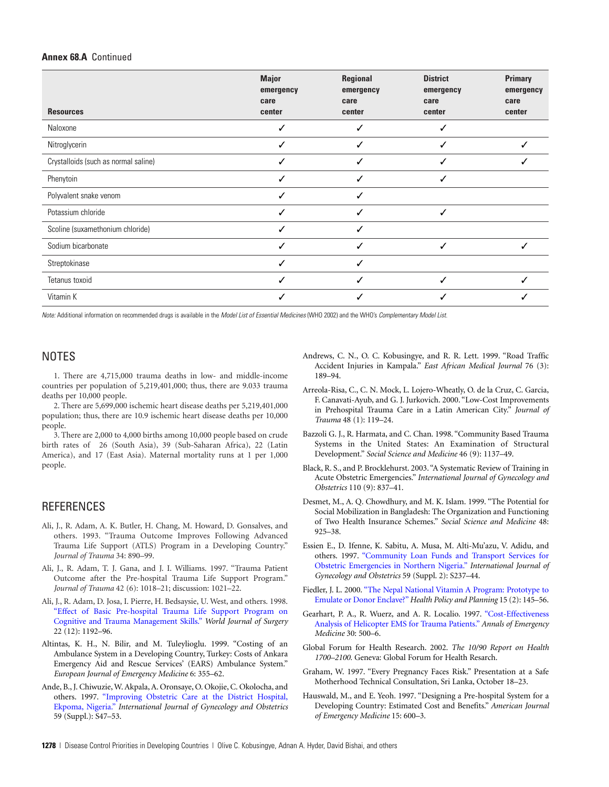#### **Annex 68.A** Continued

| <b>Resources</b>                     | <b>Major</b><br>emergency<br>care<br>center | Regional<br>emergency<br>care<br>center | <b>District</b><br>emergency<br>care<br>center | <b>Primary</b><br>emergency<br>care<br>center |
|--------------------------------------|---------------------------------------------|-----------------------------------------|------------------------------------------------|-----------------------------------------------|
| Naloxone                             | ✓                                           | ✓                                       | ✓                                              |                                               |
| Nitroglycerin                        |                                             | √                                       | ✓                                              |                                               |
| Crystalloids (such as normal saline) |                                             | √                                       |                                                |                                               |
| Phenytoin                            | ✓                                           | ✓                                       | ✓                                              |                                               |
| Polyvalent snake venom               | ✓                                           | ✓                                       |                                                |                                               |
| Potassium chloride                   |                                             |                                         | ✓                                              |                                               |
| Scoline (suxamethonium chloride)     |                                             |                                         |                                                |                                               |
| Sodium bicarbonate                   | ✓                                           | ✓                                       | ✓                                              |                                               |
| Streptokinase                        | ✓                                           | √                                       |                                                |                                               |
| Tetanus toxoid                       |                                             |                                         |                                                |                                               |
| Vitamin K                            |                                             |                                         |                                                |                                               |

*Note:* Additional information on recommended drugs is available in the *Model List of Essential Medicines* (WHO 2002) and the WHO's *Complementary Model List.*

## **NOTES**

1. There are 4,715,000 trauma deaths in low- and middle-income countries per population of 5,219,401,000; thus, there are 9.033 trauma deaths per 10,000 people.

2. There are 5,699,000 ischemic heart disease deaths per 5,219,401,000 population; thus, there are 10.9 ischemic heart disease deaths per 10,000 people.

3. There are 2,000 to 4,000 births among 10,000 people based on crude birth rates of 26 (South Asia), 39 (Sub-Saharan Africa), 22 (Latin America), and 17 (East Asia). Maternal mortality runs at 1 per 1,000 people.

#### REFERENCES

- Ali, J., R. Adam, A. K. Butler, H. Chang, M. Howard, D. Gonsalves, and others. 1993. "Trauma Outcome Improves Following Advanced Trauma Life Support (ATLS) Program in a Developing Country." *Journal of Trauma* 34: 890–99.
- Ali, J., R. Adam, T. J. Gana, and J. I. Williams. 1997. "Trauma Patient Outcome after the Pre-hospital Trauma Life Support Program." *Journal of Trauma* 42 (6): 1018–21; discussion: 1021–22.
- Ali, J., R. Adam, D. Josa, I. Pierre, H. Bedsaysie, U. West, and others. 1998. ["Effect of Basic Pre-hospital Trauma Life Support Program on](http://dx.doi.org/10.1007/s002689900543) Cognitive and Trauma Management Skills." *World Journal of Surgery* 22 (12): 1192–96.
- Altintas, K. H., N. Bilir, and M. Tuleylioglu. 1999. "Costing of an Ambulance System in a Developing Country, Turkey: Costs of Ankara Emergency Aid and Rescue Services' (EARS) Ambulance System." *European Journal of Emergency Medicine* 6: 355–62.
- Ande, B., J. Chiwuzie, W. Akpala, A. Oronsaye, O. Okojie, C. Okolocha, and others. 1997. ["Improving Obstetric Care at the District Hospital,](http://dx.doi.org/10.1016/S0020-7292(97)00147-1) Ekpoma, Nigeria." *International Journal of Gynecology and Obstetrics* 59 (Suppl.): S47–53.
- Andrews, C. N., O. C. Kobusingye, and R. R. Lett. 1999. "Road Traffic Accident Injuries in Kampala." *East African Medical Journal* 76 (3): 189–94.
- Arreola-Risa, C., C. N. Mock, L. Lojero-Wheatly, O. de la Cruz, C. Garcia, F. Canavati-Ayub, and G. J. Jurkovich. 2000. "Low-Cost Improvements in Prehospital Trauma Care in a Latin American City." *Journal of Trauma* 48 (1): 119–24.
- Bazzoli G. J., R. Harmata, and C. Chan. 1998. "Community Based Trauma Systems in the United States: An Examination of Structural Development." *Social Science and Medicine* 46 (9): 1137–49.
- Black, R. S., and P. Brocklehurst. 2003. "A Systematic Review of Training in Acute Obstetric Emergencies." *International Journal of Gynecology and Obstetrics* 110 (9): 837–41.
- Desmet, M., A. Q. Chowdhury, and M. K. Islam. 1999. "The Potential for Social Mobilization in Bangladesh: The Organization and Functioning of Two Health Insurance Schemes." *Social Science and Medicine* 48: 925–38.
- Essien E., D. Ifenne, K. Sabitu, A. Musa, M. Alti-Mu'azu, V. Adidu, and others. 1997. ["Community Loan Funds and Transport Services for](http://dx.doi.org/10.1016/S0020-7292(97)00171-9) Obstetric Emergencies in Northern Nigeria." *International Journal of Gynecology and Obstetrics* 59 (Suppl. 2): S237–44.
- Fiedler, J. L. 2000. ["The Nepal National Vitamin A Program: Prototype to](http://dx.doi.org/10.1093/heapol/15.2.145) Emulate or Donor Enclave?"*Health Policy and Planning* 15 (2): 145–56.
- Ge[arhart, P. A., R. Wuerz, and A. R. Localio. 1997.](http://dx.doi.org/10.1016/S0196-0644(97)70010-6) "Cost-Effectiveness Analysis of Helicopter EMS for Trauma Patients." *Annals of Emergency Medicine* 30: 500–6.
- Global Forum for Health Research. 2002. *The 10/90 Report on Health 1700–2100.* Geneva: Global Forum for Health Resarch.
- Graham, W. 1997. "Every Pregnancy Faces Risk." Presentation at a Safe Motherhood Technical Consultation, Sri Lanka, October 18–23.
- Hauswald, M., and E. Yeoh. 1997. "Designing a Pre-hospital System for a Developing Country: Estimated Cost and Benefits." *American Journal of Emergency Medicine* 15: 600–3.